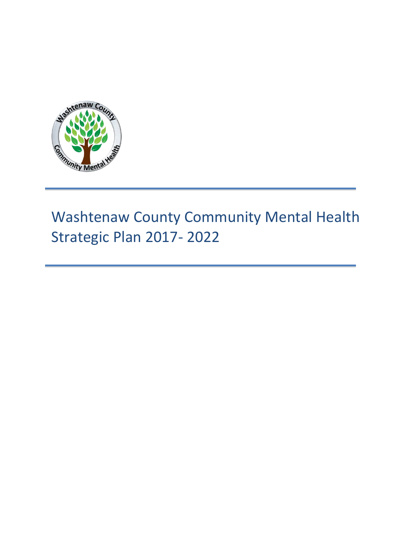

# Washtenaw County Community Mental Health Strategic Plan 2017- 2022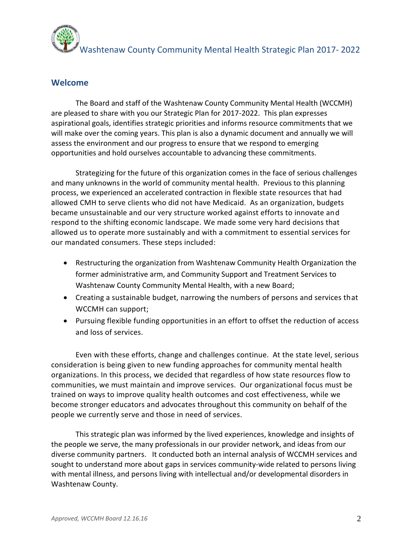Washtenaw County Community Mental Health Strategic Plan 2017- 2022

## **Welcome**

The Board and staff of the Washtenaw County Community Mental Health (WCCMH) are pleased to share with you our Strategic Plan for 2017-2022. This plan expresses aspirational goals, identifies strategic priorities and informs resource commitments that we will make over the coming years. This plan is also a dynamic document and annually we will assess the environment and our progress to ensure that we respond to emerging opportunities and hold ourselves accountable to advancing these commitments.

Strategizing for the future of this organization comes in the face of serious challenges and many unknowns in the world of community mental health. Previous to this planning process, we experienced an accelerated contraction in flexible state resources that had allowed CMH to serve clients who did not have Medicaid. As an organization, budgets became unsustainable and our very structure worked against efforts to innovate and respond to the shifting economic landscape. We made some very hard decisions that allowed us to operate more sustainably and with a commitment to essential services for our mandated consumers. These steps included:

- Restructuring the organization from Washtenaw Community Health Organization the former administrative arm, and Community Support and Treatment Services to Washtenaw County Community Mental Health, with a new Board;
- Creating a sustainable budget, narrowing the numbers of persons and services that WCCMH can support;
- Pursuing flexible funding opportunities in an effort to offset the reduction of access and loss of services.

Even with these efforts, change and challenges continue. At the state level, serious consideration is being given to new funding approaches for community mental health organizations. In this process, we decided that regardless of how state resources flow to communities, we must maintain and improve services. Our organizational focus must be trained on ways to improve quality health outcomes and cost effectiveness, while we become stronger educators and advocates throughout this community on behalf of the people we currently serve and those in need of services.

This strategic plan was informed by the lived experiences, knowledge and insights of the people we serve, the many professionals in our provider network, and ideas from our diverse community partners. It conducted both an internal analysis of WCCMH services and sought to understand more about gaps in services community-wide related to persons living with mental illness, and persons living with intellectual and/or developmental disorders in Washtenaw County.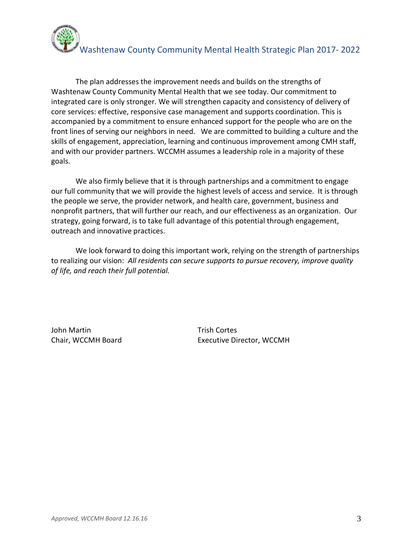

The plan addresses the improvement needs and builds on the strengths of Washtenaw County Community Mental Health that we see today. Our commitment to integrated care is only stronger. We will strengthen capacity and consistency of delivery of core services: effective, responsive case management and supports coordination. This is accompanied by a commitment to ensure enhanced support for the people who are on the front lines of serving our neighbors in need. We are committed to building a culture and the skills of engagement, appreciation, learning and continuous improvement among CMH staff, and with our provider partners. WCCMH assumes a leadership role in a majority of these goals.

We also firmly believe that it is through partnerships and a commitment to engage our full community that we will provide the highest levels of access and service. It is through the people we serve, the provider network, and health care, government, business and nonprofit partners, that will further our reach, and our effectiveness as an organization. Our strategy, going forward, is to take full advantage of this potential through engagement, outreach and innovative practices.

We look forward to doing this important work, relying on the strength of partnerships to realizing our vision: *All residents can secure supports to pursue recovery, improve quality of life, and reach their full potential.*

John Martin Trish Cortes

Chair, WCCMH Board Executive Director, WCCMH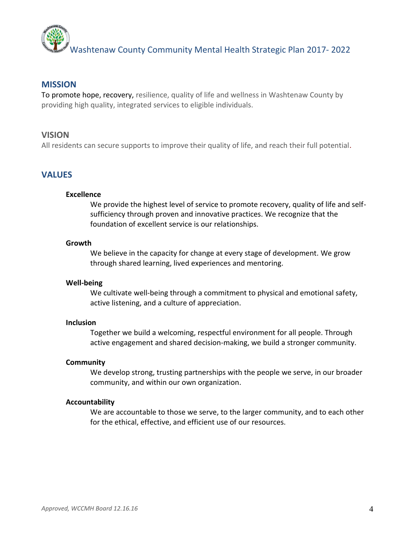

#### **MISSION**

To promote hope, recovery, resilience, quality of life and wellness in Washtenaw County by providing high quality, integrated services to eligible individuals.

#### **VISION**

All residents can secure supports to improve their quality of life, and reach their full potential.

### **VALUES**

#### **Excellence**

We provide the highest level of service to promote recovery, quality of life and selfsufficiency through proven and innovative practices. We recognize that the foundation of excellent service is our relationships.

#### **Growth**

We believe in the capacity for change at every stage of development. We grow through shared learning, lived experiences and mentoring.

#### **Well-being**

We cultivate well-being through a commitment to physical and emotional safety, active listening, and a culture of appreciation.

#### **Inclusion**

Together we build a welcoming, respectful environment for all people. Through active engagement and shared decision-making, we build a stronger community.

#### **Community**

We develop strong, trusting partnerships with the people we serve, in our broader community, and within our own organization.

#### **Accountability**

We are accountable to those we serve, to the larger community, and to each other for the ethical, effective, and efficient use of our resources.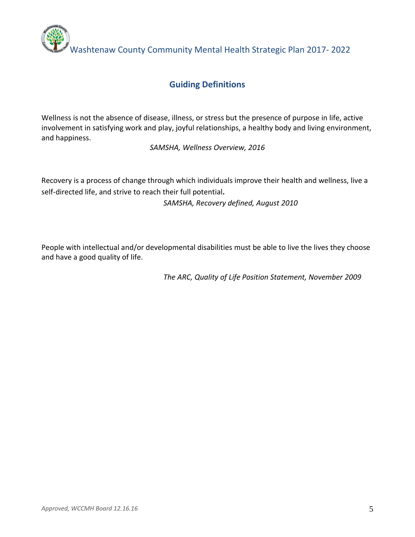

# **Guiding Definitions**

Wellness is not the absence of disease, illness, or stress but the presence of purpose in life, active involvement in satisfying work and play, joyful relationships, a healthy body and living environment, and happiness.

*SAMSHA, Wellness Overview, 2016*

Recovery is a process of change through which individuals improve their health and wellness, live a self-directed life, and strive to reach their full potential**.**

*SAMSHA, Recovery defined, August 2010*

People with intellectual and/or developmental disabilities must be able to live the lives they choose and have a good quality of life.

*The ARC, Quality of Life Position Statement, November 2009*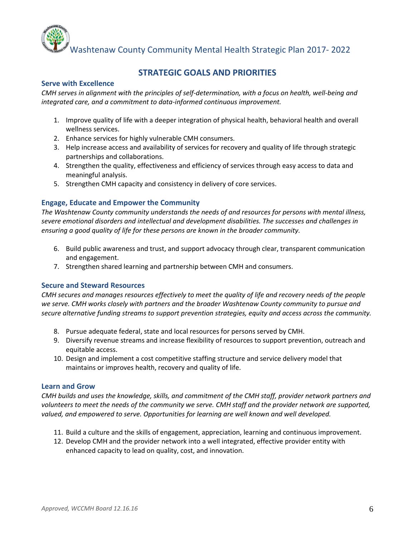

## **STRATEGIC GOALS AND PRIORITIES**

#### **Serve with Excellence**

*CMH serves in alignment with the principles of self-determination, with a focus on health, well-being and integrated care, and a commitment to data-informed continuous improvement.*

- 1. Improve quality of life with a deeper integration of physical health, behavioral health and overall wellness services.
- 2. Enhance services for highly vulnerable CMH consumers.
- 3. Help increase access and availability of services for recovery and quality of life through strategic partnerships and collaborations.
- 4. Strengthen the quality, effectiveness and efficiency of services through easy access to data and meaningful analysis.
- 5. Strengthen CMH capacity and consistency in delivery of core services.

#### **Engage, Educate and Empower the Community**

*The Washtenaw County community understands the needs of and resources for persons with mental illness, severe emotional disorders and intellectual and development disabilities. The successes and challenges in ensuring a good quality of life for these persons are known in the broader community.*

- 6. Build public awareness and trust, and support advocacy through clear, transparent communication and engagement.
- 7. Strengthen shared learning and partnership between CMH and consumers.

#### **Secure and Steward Resources**

*CMH secures and manages resources effectively to meet the quality of life and recovery needs of the people we serve. CMH works closely with partners and the broader Washtenaw County community to pursue and secure alternative funding streams to support prevention strategies, equity and access across the community.*

- 8. Pursue adequate federal, state and local resources for persons served by CMH.
- 9. Diversify revenue streams and increase flexibility of resources to support prevention, outreach and equitable access.
- 10. Design and implement a cost competitive staffing structure and service delivery model that maintains or improves health, recovery and quality of life.

#### **Learn and Grow**

*CMH builds and uses the knowledge, skills, and commitment of the CMH staff, provider network partners and volunteers to meet the needs of the community we serve. CMH staff and the provider network are supported, valued, and empowered to serve. Opportunities for learning are well known and well developed.*

- 11. Build a culture and the skills of engagement, appreciation, learning and continuous improvement.
- 12. Develop CMH and the provider network into a well integrated, effective provider entity with enhanced capacity to lead on quality, cost, and innovation.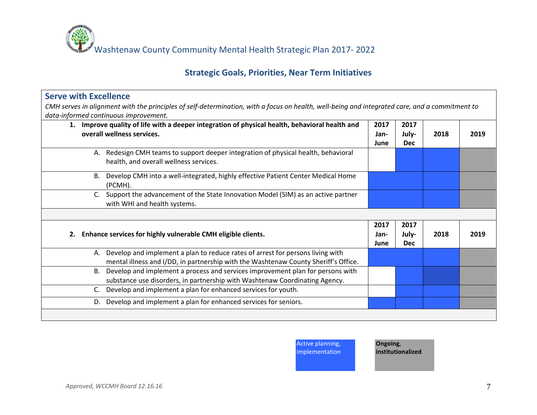

# **Strategic Goals, Priorities, Near Term Initiatives**

| <b>Serve with Excellence</b>                                                                                                                   |      |            |      |      |
|------------------------------------------------------------------------------------------------------------------------------------------------|------|------------|------|------|
| CMH serves in alignment with the principles of self-determination, with a focus on health, well-being and integrated care, and a commitment to |      |            |      |      |
| data-informed continuous improvement.                                                                                                          |      |            |      |      |
| 1. Improve quality of life with a deeper integration of physical health, behavioral health and                                                 | 2017 | 2017       |      |      |
| overall wellness services.                                                                                                                     | Jan- | July-      | 2018 | 2019 |
|                                                                                                                                                | June | <b>Dec</b> |      |      |
| A. Redesign CMH teams to support deeper integration of physical health, behavioral                                                             |      |            |      |      |
| health, and overall wellness services.                                                                                                         |      |            |      |      |
| B. Develop CMH into a well-integrated, highly effective Patient Center Medical Home                                                            |      |            |      |      |
| (PCMH).                                                                                                                                        |      |            |      |      |
| C. Support the advancement of the State Innovation Model (SIM) as an active partner                                                            |      |            |      |      |
| with WHI and health systems.                                                                                                                   |      |            |      |      |
|                                                                                                                                                |      |            |      |      |
|                                                                                                                                                | 2017 | 2017       |      |      |
| Enhance services for highly vulnerable CMH eligible clients.<br>2.                                                                             | Jan- | July-      | 2018 | 2019 |
|                                                                                                                                                | June | <b>Dec</b> |      |      |
| A. Develop and implement a plan to reduce rates of arrest for persons living with                                                              |      |            |      |      |
| mental illness and I/DD, in partnership with the Washtenaw County Sheriff's Office.                                                            |      |            |      |      |
| B. Develop and implement a process and services improvement plan for persons with                                                              |      |            |      |      |
| substance use disorders, in partnership with Washtenaw Coordinating Agency.                                                                    |      |            |      |      |
| Develop and implement a plan for enhanced services for youth.                                                                                  |      |            |      |      |
| Develop and implement a plan for enhanced services for seniors.<br>D.                                                                          |      |            |      |      |
|                                                                                                                                                |      |            |      |      |
|                                                                                                                                                |      |            |      |      |

Active planning,

implementation

**Ongoing**, **institutionalized**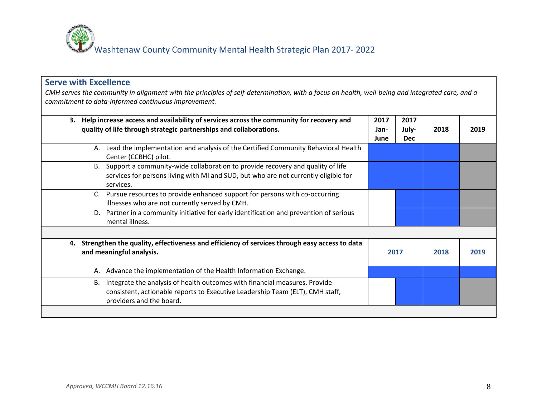

## **Serve with Excellence**

*CMH serves the community in alignment with the principles of self-determination, with a focus on health, well-being and integrated care, and a commitment to data-informed continuous improvement.*

| Help increase access and availability of services across the community for recovery and<br>3.<br>quality of life through strategic partnerships and collaborations.                           | 2017<br>Jan-<br>June | 2017<br>July-<br><b>Dec</b> | 2018 | 2019 |
|-----------------------------------------------------------------------------------------------------------------------------------------------------------------------------------------------|----------------------|-----------------------------|------|------|
| Lead the implementation and analysis of the Certified Community Behavioral Health<br>А.<br>Center (CCBHC) pilot.                                                                              |                      |                             |      |      |
| Support a community-wide collaboration to provide recovery and quality of life<br>B.<br>services for persons living with MI and SUD, but who are not currently eligible for<br>services.      |                      |                             |      |      |
| Pursue resources to provide enhanced support for persons with co-occurring<br>C.<br>illnesses who are not currently served by CMH.                                                            |                      |                             |      |      |
| Partner in a community initiative for early identification and prevention of serious<br>D.<br>mental illness.                                                                                 |                      |                             |      |      |
|                                                                                                                                                                                               |                      |                             |      |      |
| Strengthen the quality, effectiveness and efficiency of services through easy access to data<br>4.<br>and meaningful analysis.                                                                |                      | 2017                        | 2018 | 2019 |
| Advance the implementation of the Health Information Exchange.<br>А.                                                                                                                          |                      |                             |      |      |
| Integrate the analysis of health outcomes with financial measures. Provide<br>В.<br>consistent, actionable reports to Executive Leadership Team (ELT), CMH staff,<br>providers and the board. |                      |                             |      |      |
|                                                                                                                                                                                               |                      |                             |      |      |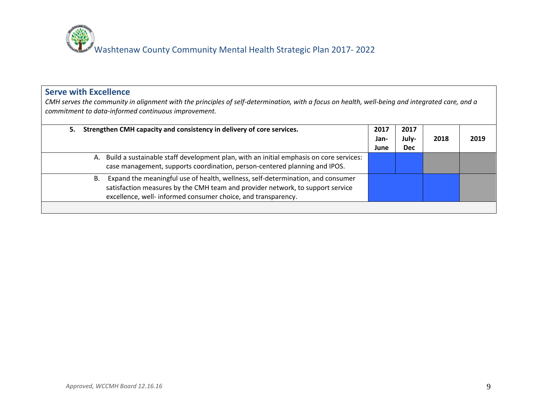

## **Serve with Excellence**

*CMH serves the community in alignment with the principles of self-determination, with a focus on health, well-being and integrated care, and a commitment to data-informed continuous improvement.*

| Strengthen CMH capacity and consistency in delivery of core services.<br>5.                                                                                                                                                              | 2017<br>Jan-<br>June | 2017<br>July-<br><b>Dec</b> | 2018 | 2019 |
|------------------------------------------------------------------------------------------------------------------------------------------------------------------------------------------------------------------------------------------|----------------------|-----------------------------|------|------|
| A. Build a sustainable staff development plan, with an initial emphasis on core services:<br>case management, supports coordination, person-centered planning and IPOS.                                                                  |                      |                             |      |      |
| Expand the meaningful use of health, wellness, self-determination, and consumer<br>В.<br>satisfaction measures by the CMH team and provider network, to support service<br>excellence, well- informed consumer choice, and transparency. |                      |                             |      |      |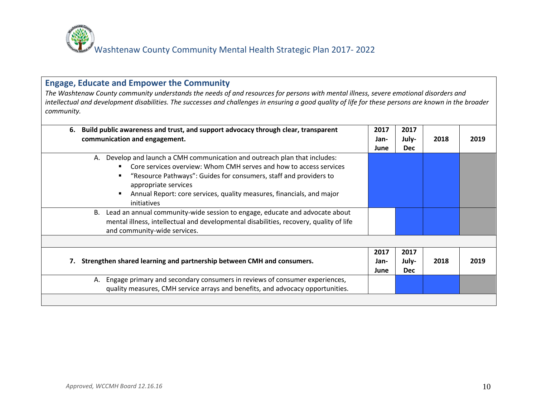

## **Engage, Educate and Empower the Community**

*The Washtenaw County community understands the needs of and resources for persons with mental illness, severe emotional disorders and intellectual and development disabilities. The successes and challenges in ensuring a good quality of life for these persons are known in the broader community.*

| Build public awareness and trust, and support advocacy through clear, transparent<br>6.<br>communication and engagement.                                                                                                                                                                                                                 | 2017<br>Jan-<br>June | 2017<br>July-<br><b>Dec</b> | 2018 | 2019 |
|------------------------------------------------------------------------------------------------------------------------------------------------------------------------------------------------------------------------------------------------------------------------------------------------------------------------------------------|----------------------|-----------------------------|------|------|
| Develop and launch a CMH communication and outreach plan that includes:<br>А.<br>Core services overview: Whom CMH serves and how to access services<br>"Resource Pathways": Guides for consumers, staff and providers to<br>appropriate services<br>Annual Report: core services, quality measures, financials, and major<br>initiatives |                      |                             |      |      |
| Lead an annual community-wide session to engage, educate and advocate about<br>В.<br>mental illness, intellectual and developmental disabilities, recovery, quality of life<br>and community-wide services.                                                                                                                              |                      |                             |      |      |
| Strengthen shared learning and partnership between CMH and consumers.                                                                                                                                                                                                                                                                    | 2017<br>Jan-<br>June | 2017<br>July-<br><b>Dec</b> | 2018 | 2019 |
| Engage primary and secondary consumers in reviews of consumer experiences,<br>А.<br>quality measures, CMH service arrays and benefits, and advocacy opportunities.                                                                                                                                                                       |                      |                             |      |      |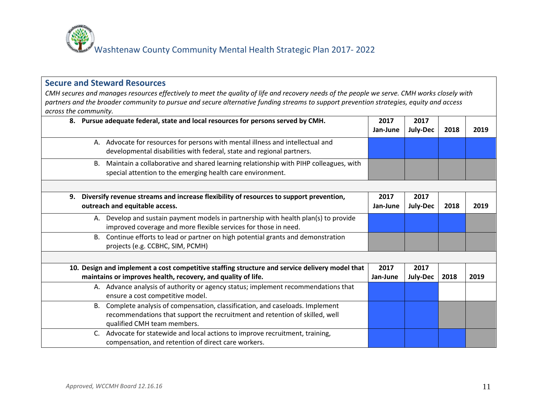

## **Secure and Steward Resources**

*CMH secures and manages resources effectively to meet the quality of life and recovery needs of the people we serve. CMH works closely with partners and the broader community to pursue and secure alternative funding streams to support prevention strategies, equity and access across the community.* 

| 8. Pursue adequate federal, state and local resources for persons served by CMH.                                                                                                                | 2017<br>Jan-June | 2017<br>July-Dec | 2018 | 2019 |
|-------------------------------------------------------------------------------------------------------------------------------------------------------------------------------------------------|------------------|------------------|------|------|
| A. Advocate for resources for persons with mental illness and intellectual and<br>developmental disabilities with federal, state and regional partners.                                         |                  |                  |      |      |
| Maintain a collaborative and shared learning relationship with PIHP colleagues, with<br>B.<br>special attention to the emerging health care environment.                                        |                  |                  |      |      |
| Diversify revenue streams and increase flexibility of resources to support prevention,<br>9.<br>outreach and equitable access.                                                                  | 2017<br>Jan-June | 2017<br>July-Dec | 2018 | 2019 |
| Develop and sustain payment models in partnership with health plan(s) to provide<br>А.<br>improved coverage and more flexible services for those in need.                                       |                  |                  |      |      |
| B. Continue efforts to lead or partner on high potential grants and demonstration<br>projects (e.g. CCBHC, SIM, PCMH)                                                                           |                  |                  |      |      |
|                                                                                                                                                                                                 |                  |                  |      |      |
| 10. Design and implement a cost competitive staffing structure and service delivery model that<br>maintains or improves health, recovery, and quality of life.                                  | 2017<br>Jan-June | 2017<br>July-Dec | 2018 | 2019 |
| A. Advance analysis of authority or agency status; implement recommendations that<br>ensure a cost competitive model.                                                                           |                  |                  |      |      |
| Complete analysis of compensation, classification, and caseloads. Implement<br>B.<br>recommendations that support the recruitment and retention of skilled, well<br>qualified CMH team members. |                  |                  |      |      |
| C. Advocate for statewide and local actions to improve recruitment, training,<br>compensation, and retention of direct care workers.                                                            |                  |                  |      |      |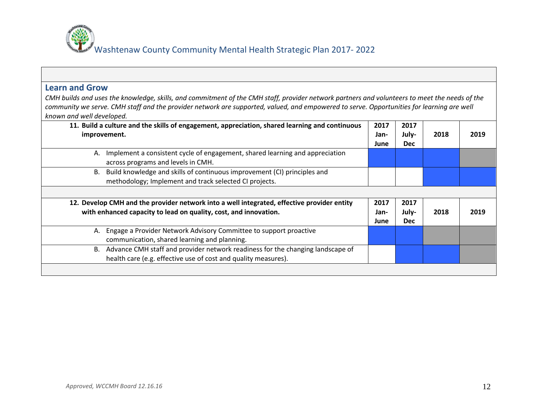

| <b>Learn and Grow</b>                                                                                                                                                                                                                                                                                                   |                      |                             |      |      |
|-------------------------------------------------------------------------------------------------------------------------------------------------------------------------------------------------------------------------------------------------------------------------------------------------------------------------|----------------------|-----------------------------|------|------|
| CMH builds and uses the knowledge, skills, and commitment of the CMH staff, provider network partners and volunteers to meet the needs of the<br>community we serve. CMH staff and the provider network are supported, valued, and empowered to serve. Opportunities for learning are well<br>known and well developed. |                      |                             |      |      |
| 11. Build a culture and the skills of engagement, appreciation, shared learning and continuous<br>improvement.                                                                                                                                                                                                          | 2017<br>Jan-<br>June | 2017<br>July-<br><b>Dec</b> | 2018 | 2019 |
| Implement a consistent cycle of engagement, shared learning and appreciation<br>А.<br>across programs and levels in CMH.                                                                                                                                                                                                |                      |                             |      |      |
| Build knowledge and skills of continuous improvement (CI) principles and<br>В.<br>methodology; Implement and track selected CI projects.                                                                                                                                                                                |                      |                             |      |      |
| 12. Develop CMH and the provider network into a well integrated, effective provider entity<br>with enhanced capacity to lead on quality, cost, and innovation.                                                                                                                                                          | 2017<br>Jan-<br>June | 2017<br>July-<br><b>Dec</b> | 2018 | 2019 |
| Engage a Provider Network Advisory Committee to support proactive<br>А.<br>communication, shared learning and planning.                                                                                                                                                                                                 |                      |                             |      |      |
| B. Advance CMH staff and provider network readiness for the changing landscape of<br>health care (e.g. effective use of cost and quality measures).                                                                                                                                                                     |                      |                             |      |      |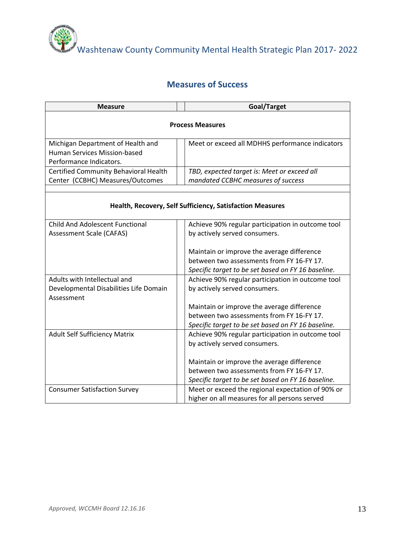

Washtenaw County Community Mental Health Strategic Plan 2017- 2022

# **Measures of Success**

| <b>Measure</b>                                                           | Goal/Target                                               |
|--------------------------------------------------------------------------|-----------------------------------------------------------|
|                                                                          | <b>Process Measures</b>                                   |
| Michigan Department of Health and<br><b>Human Services Mission-based</b> | Meet or exceed all MDHHS performance indicators           |
| Performance Indicators.                                                  |                                                           |
| Certified Community Behavioral Health                                    | TBD, expected target is: Meet or exceed all               |
| Center (CCBHC) Measures/Outcomes                                         | mandated CCBHC measures of success                        |
|                                                                          |                                                           |
|                                                                          | Health, Recovery, Self Sufficiency, Satisfaction Measures |
| <b>Child And Adolescent Functional</b>                                   | Achieve 90% regular participation in outcome tool         |
| <b>Assessment Scale (CAFAS)</b>                                          | by actively served consumers.                             |
|                                                                          |                                                           |
|                                                                          | Maintain or improve the average difference                |
|                                                                          | between two assessments from FY 16-FY 17.                 |
|                                                                          | Specific target to be set based on FY 16 baseline.        |
| Adults with Intellectual and                                             | Achieve 90% regular participation in outcome tool         |
| Developmental Disabilities Life Domain<br>Assessment                     | by actively served consumers.                             |
|                                                                          | Maintain or improve the average difference                |
|                                                                          | between two assessments from FY 16-FY 17.                 |
|                                                                          | Specific target to be set based on FY 16 baseline.        |
| <b>Adult Self Sufficiency Matrix</b>                                     | Achieve 90% regular participation in outcome tool         |
|                                                                          | by actively served consumers.                             |
|                                                                          |                                                           |
|                                                                          | Maintain or improve the average difference                |
|                                                                          | between two assessments from FY 16-FY 17.                 |
|                                                                          | Specific target to be set based on FY 16 baseline.        |
| <b>Consumer Satisfaction Survey</b>                                      | Meet or exceed the regional expectation of 90% or         |
|                                                                          | higher on all measures for all persons served             |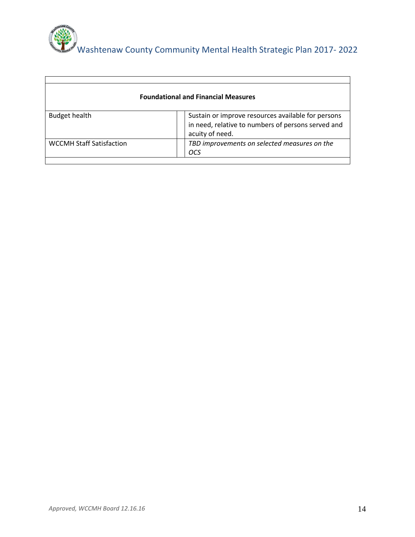

| <b>Foundational and Financial Measures</b> |                                                                                                                             |  |  |  |  |
|--------------------------------------------|-----------------------------------------------------------------------------------------------------------------------------|--|--|--|--|
| <b>Budget health</b>                       | Sustain or improve resources available for persons<br>in need, relative to numbers of persons served and<br>acuity of need. |  |  |  |  |
| <b>WCCMH Staff Satisfaction</b>            | TBD improvements on selected measures on the<br>OCS                                                                         |  |  |  |  |